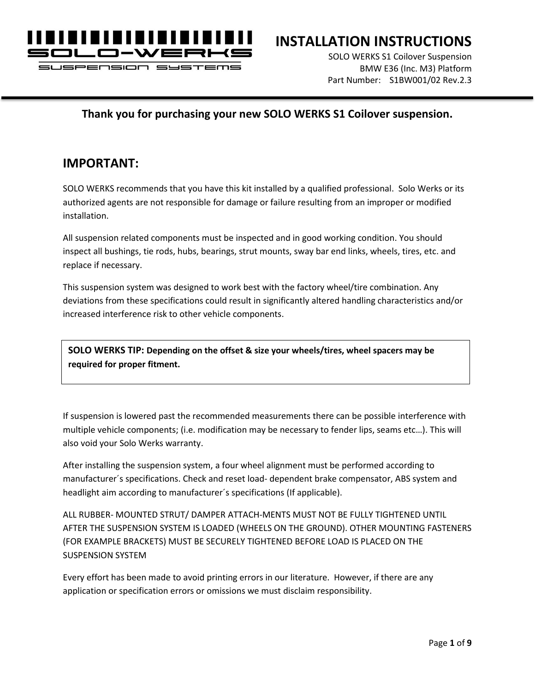

JSPENSION

### **INSTALLATION INSTRUCTIONS**

SOLO WERKS S1 Coilover Suspension BMW E36 (Inc. M3) Platform Part Number: S1BW001/02 Rev.2.3

#### **Thank you for purchasing your new SOLO WERKS S1 Coilover suspension.**

#### **IMPORTANT:**

SOLO WERKS recommends that you have this kit installed by a qualified professional. Solo Werks or its authorized agents are not responsible for damage or failure resulting from an improper or modified installation.

All suspension related components must be inspected and in good working condition. You should inspect all bushings, tie rods, hubs, bearings, strut mounts, sway bar end links, wheels, tires, etc. and replace if necessary.

This suspension system was designed to work best with the factory wheel/tire combination. Any deviations from these specifications could result in significantly altered handling characteristics and/or increased interference risk to other vehicle components.

**SOLO WERKS TIP: Depending on the offset & size your wheels/tires, wheel spacers may be required for proper fitment.**

If suspension is lowered past the recommended measurements there can be possible interference with multiple vehicle components; (i.e. modification may be necessary to fender lips, seams etc…). This will also void your Solo Werks warranty.

After installing the suspension system, a four wheel alignment must be performed according to manufacturer´s specifications. Check and reset load- dependent brake compensator, ABS system and headlight aim according to manufacturer´s specifications (If applicable).

ALL RUBBER- MOUNTED STRUT/ DAMPER ATTACH-MENTS MUST NOT BE FULLY TIGHTENED UNTIL AFTER THE SUSPENSION SYSTEM IS LOADED (WHEELS ON THE GROUND). OTHER MOUNTING FASTENERS (FOR EXAMPLE BRACKETS) MUST BE SECURELY TIGHTENED BEFORE LOAD IS PLACED ON THE SUSPENSION SYSTEM

Every effort has been made to avoid printing errors in our literature. However, if there are any application or specification errors or omissions we must disclaim responsibility.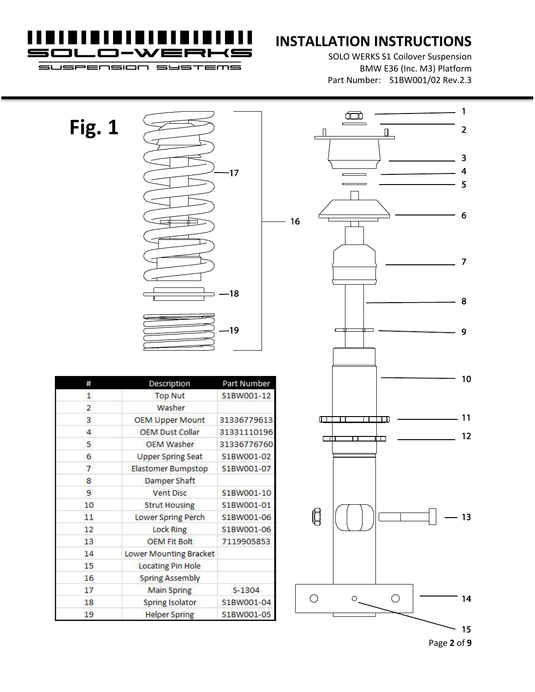

# **INSTALLATION INSTRUCTIONS**

SOLO WERKS S1 Coilover Suspension BMW E36 (Inc. M3) Platform Part Number: S1BW001/02 Rev.2.3

**SUSPENSION**  $=$ **JSTEMS** 



| #  | Description              | Part Number |  |  |  |
|----|--------------------------|-------------|--|--|--|
| 1  | <b>Top Nut</b>           | S1BW001-12  |  |  |  |
| 2  | Washer                   |             |  |  |  |
| 3  | <b>OEM Upper Mount</b>   | 31336779613 |  |  |  |
| 4  | OEM Dust Collar          | 31331110196 |  |  |  |
| 5  | <b>OEM Washer</b>        | 31336776760 |  |  |  |
| 6  | <b>Upper Spring Seat</b> | S1BW001-02  |  |  |  |
| 7  | Elastomer Bumpstop       | S1BW001-07  |  |  |  |
| 8  | Damper Shaft             |             |  |  |  |
| 9  | Vent Disc                | S1BW001-10  |  |  |  |
| 10 | <b>Strut Housing</b>     | S1BW001-01  |  |  |  |
| 11 | Lower Spring Perch       | S1BW001-06  |  |  |  |
| 12 | Lock Ring                | S1BW001-06  |  |  |  |
| 13 | <b>OEM Fit Bolt</b>      | 7119905853  |  |  |  |
| 14 | Lower Mounting Bracket   |             |  |  |  |
| 15 | Locating Pin Hole        |             |  |  |  |
| 16 | Spring Assembly          |             |  |  |  |
| 17 | Main Spring              | $S-1304$    |  |  |  |
| 18 | Spring Isolator          | S1BW001-04  |  |  |  |
| 19 | <b>Helper Spring</b>     | S1BW001-05  |  |  |  |



Page **2** of **9**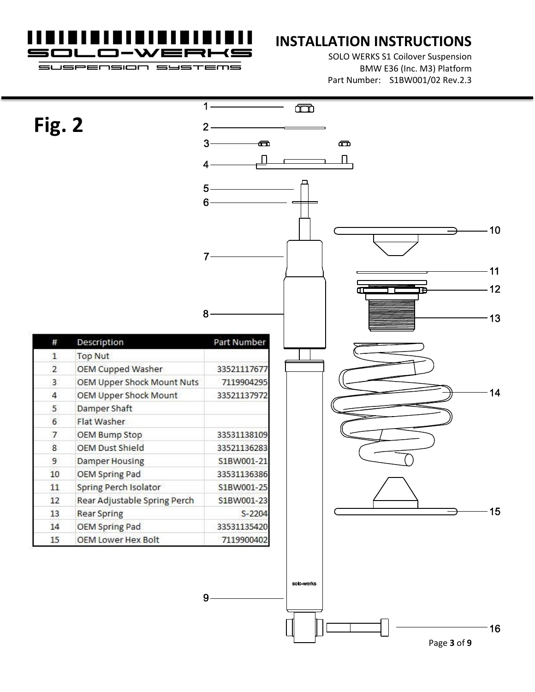TEMS

**nsior** 

JSPEr

## **INSTALLATION INSTRUCTIONS**

SOLO WERKS S1 Coilover Suspension BMW E36 (Inc. M3) Platform Part Number: S1BW001/02 Rev.2.3

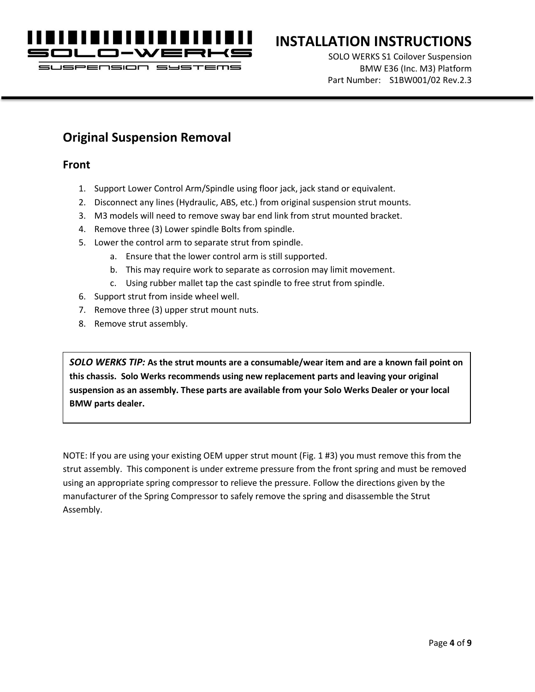

SUSPENSION SY  $=$ T $=$ m $=$ 

# **INSTALLATION INSTRUCTIONS**

SOLO WERKS S1 Coilover Suspension BMW E36 (Inc. M3) Platform Part Number: S1BW001/02 Rev.2.3

#### **Original Suspension Removal**

#### **Front**

- 1. Support Lower Control Arm/Spindle using floor jack, jack stand or equivalent.
- 2. Disconnect any lines (Hydraulic, ABS, etc.) from original suspension strut mounts.
- 3. M3 models will need to remove sway bar end link from strut mounted bracket.
- 4. Remove three (3) Lower spindle Bolts from spindle.
- 5. Lower the control arm to separate strut from spindle.
	- a. Ensure that the lower control arm is still supported.
	- b. This may require work to separate as corrosion may limit movement.
	- c. Using rubber mallet tap the cast spindle to free strut from spindle.
- 6. Support strut from inside wheel well.
- 7. Remove three (3) upper strut mount nuts.
- 8. Remove strut assembly.

*SOLO WERKS TIP:* **As the strut mounts are a consumable/wear item and are a known fail point on this chassis. Solo Werks recommends using new replacement parts and leaving your original suspension as an assembly. These parts are available from your Solo Werks Dealer or your local BMW parts dealer.**

NOTE: If you are using your existing OEM upper strut mount (Fig. 1 #3) you must remove this from the strut assembly. This component is under extreme pressure from the front spring and must be removed using an appropriate spring compressor to relieve the pressure. Follow the directions given by the manufacturer of the Spring Compressor to safely remove the spring and disassemble the Strut Assembly.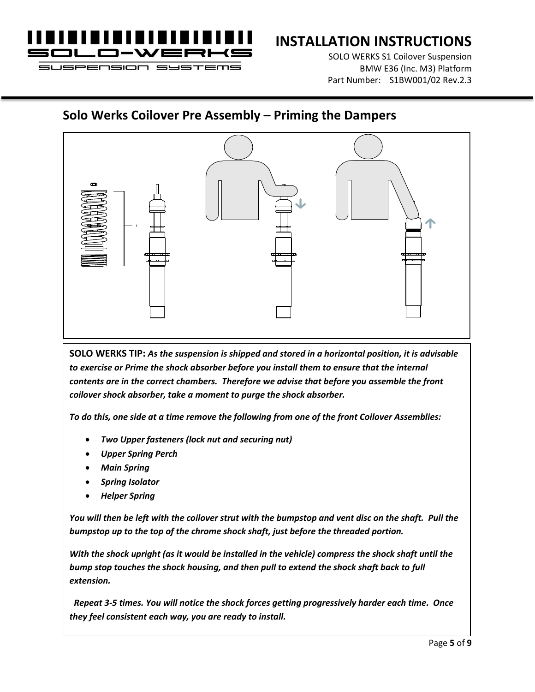

# **INSTALLATION INSTRUCTIONS**

SOLO WERKS S1 Coilover Suspension BMW E36 (Inc. M3) Platform Part Number: S1BW001/02 Rev.2.3

#### **Solo Werks Coilover Pre Assembly – Priming the Dampers**



**SOLO WERKS TIP:** *As the suspension is shipped and stored in a horizontal position, it is advisable to exercise or Prime the shock absorber before you install them to ensure that the internal contents are in the correct chambers. Therefore we advise that before you assemble the front coilover shock absorber, take a moment to purge the shock absorber.* 

*To do this, one side at a time remove the following from one of the front Coilover Assemblies:*

- *Two Upper fasteners (lock nut and securing nut)*
- *Upper Spring Perch*
- *Main Spring*
- *Spring Isolator*
- *Helper Spring*

*You will then be left with the coilover strut with the bumpstop and vent disc on the shaft. Pull the bumpstop up to the top of the chrome shock shaft, just before the threaded portion.* 

*With the shock upright (as it would be installed in the vehicle) compress the shock shaft until the bump stop touches the shock housing, and then pull to extend the shock shaft back to full extension.*

 *Repeat 3-5 times. You will notice the shock forces getting progressively harder each time. Once they feel consistent each way, you are ready to install.*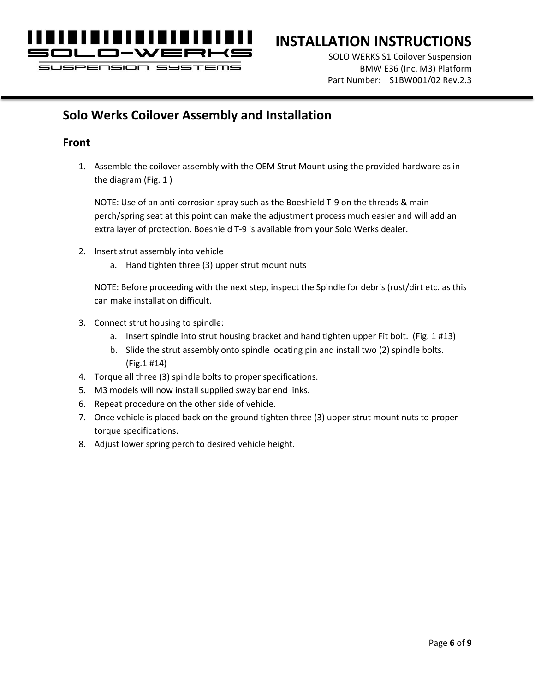

**SUSPENSION** 

## **INSTALLATION INSTRUCTIONS**

SOLO WERKS S1 Coilover Suspension BMW E36 (Inc. M3) Platform Part Number: S1BW001/02 Rev.2.3

### **Solo Werks Coilover Assembly and Installation**

#### **Front**

1. Assemble the coilover assembly with the OEM Strut Mount using the provided hardware as in the diagram (Fig. 1 )

NOTE: Use of an anti-corrosion spray such as the Boeshield T-9 on the threads & main perch/spring seat at this point can make the adjustment process much easier and will add an extra layer of protection. Boeshield T-9 is available from your Solo Werks dealer.

- 2. Insert strut assembly into vehicle
	- a. Hand tighten three (3) upper strut mount nuts

NOTE: Before proceeding with the next step, inspect the Spindle for debris (rust/dirt etc. as this can make installation difficult.

- 3. Connect strut housing to spindle:
	- a. Insert spindle into strut housing bracket and hand tighten upper Fit bolt. (Fig. 1 #13)
	- b. Slide the strut assembly onto spindle locating pin and install two (2) spindle bolts. (Fig.1 #14)
- 4. Torque all three (3) spindle bolts to proper specifications.
- 5. M3 models will now install supplied sway bar end links.
- 6. Repeat procedure on the other side of vehicle.
- 7. Once vehicle is placed back on the ground tighten three (3) upper strut mount nuts to proper torque specifications.
- 8. Adjust lower spring perch to desired vehicle height.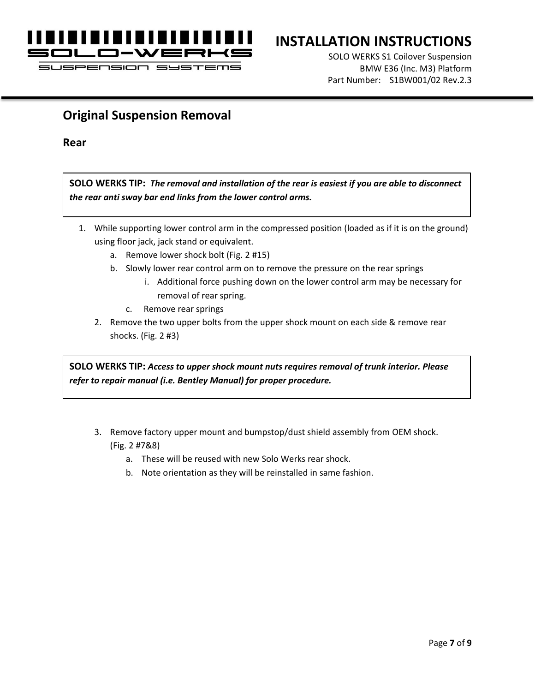

JSPENSION

## **INSTALLATION INSTRUCTIONS**

SOLO WERKS S1 Coilover Suspension BMW E36 (Inc. M3) Platform Part Number: S1BW001/02 Rev.2.3

#### **Original Suspension Removal**

**Rear**

**SOLO WERKS TIP:** *The removal and installation of the rear is easiest if you are able to disconnect the rear anti sway bar end links from the lower control arms.*

- 1. While supporting lower control arm in the compressed position (loaded as if it is on the ground) using floor jack, jack stand or equivalent.
	- a. Remove lower shock bolt (Fig. 2 #15)
	- b. Slowly lower rear control arm on to remove the pressure on the rear springs
		- i. Additional force pushing down on the lower control arm may be necessary for removal of rear spring.
		- c. Remove rear springs
	- 2. Remove the two upper bolts from the upper shock mount on each side & remove rear shocks. (Fig. 2 #3)

**SOLO WERKS TIP:** *Access to upper shock mount nuts requires removal of trunk interior. Please refer to repair manual (i.e. Bentley Manual) for proper procedure.*

- 3. Remove factory upper mount and bumpstop/dust shield assembly from OEM shock. (Fig. 2 #7&8)
	- a. These will be reused with new Solo Werks rear shock.
	- b. Note orientation as they will be reinstalled in same fashion.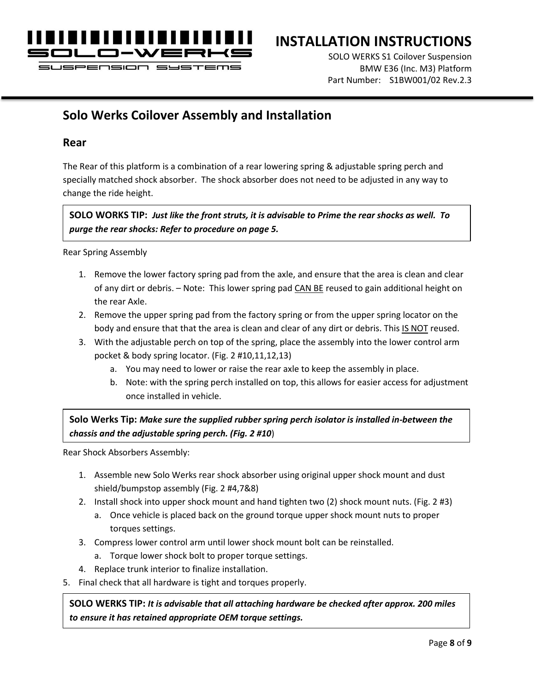

**JSPENSION** 

## **INSTALLATION INSTRUCTIONS**

SOLO WERKS S1 Coilover Suspension BMW E36 (Inc. M3) Platform Part Number: S1BW001/02 Rev.2.3

### **Solo Werks Coilover Assembly and Installation**

#### **Rear**

The Rear of this platform is a combination of a rear lowering spring & adjustable spring perch and specially matched shock absorber. The shock absorber does not need to be adjusted in any way to change the ride height.

**SOLO WORKS TIP:** *Just like the front struts, it is advisable to Prime the rear shocks as well. To purge the rear shocks: Refer to procedure on page 5.*

Rear Spring Assembly

- 1. Remove the lower factory spring pad from the axle, and ensure that the area is clean and clear of any dirt or debris. – Note: This lower spring pad CAN BE reused to gain additional height on the rear Axle.
- 2. Remove the upper spring pad from the factory spring or from the upper spring locator on the body and ensure that that the area is clean and clear of any dirt or debris. This IS NOT reused.
- 3. With the adjustable perch on top of the spring, place the assembly into the lower control arm pocket & body spring locator. (Fig. 2 #10,11,12,13)
	- a. You may need to lower or raise the rear axle to keep the assembly in place.
	- b. Note: with the spring perch installed on top, this allows for easier access for adjustment once installed in vehicle.

**Solo Werks Tip:** *Make sure the supplied rubber spring perch isolator is installed in-between the chassis and the adjustable spring perch. (Fig. 2 #10*)

Rear Shock Absorbers Assembly:

- 1. Assemble new Solo Werks rear shock absorber using original upper shock mount and dust shield/bumpstop assembly (Fig. 2 #4,7&8)
- 2. Install shock into upper shock mount and hand tighten two (2) shock mount nuts. (Fig. 2 #3)
	- a. Once vehicle is placed back on the ground torque upper shock mount nuts to proper torques settings.
- 3. Compress lower control arm until lower shock mount bolt can be reinstalled.
	- a. Torque lower shock bolt to proper torque settings.
- 4. Replace trunk interior to finalize installation.
- 5. Final check that all hardware is tight and torques properly.

**SOLO WERKS TIP:** *It is advisable that all attaching hardware be checked after approx. 200 miles to ensure it has retained appropriate OEM torque settings.*